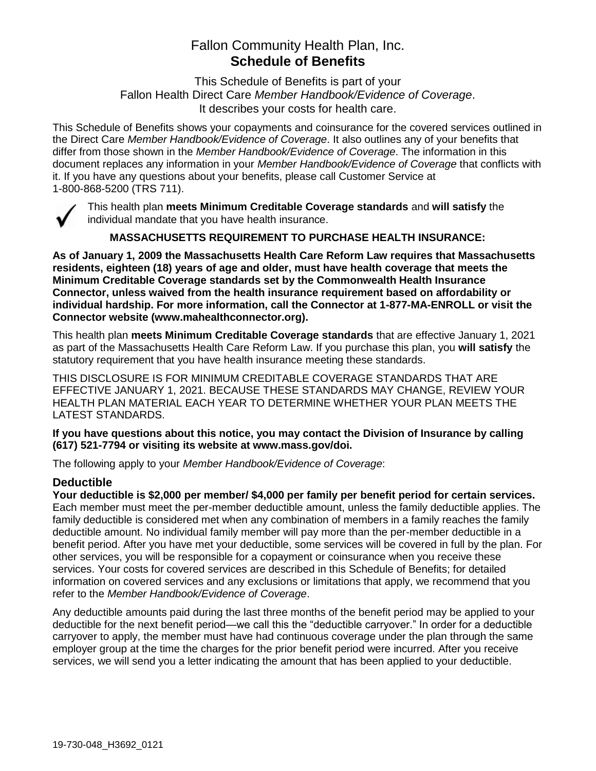# Fallon Community Health Plan, Inc. **Schedule of Benefits**

This Schedule of Benefits is part of your Fallon Health Direct Care *Member Handbook/Evidence of Coverage*. It describes your costs for health care.

This Schedule of Benefits shows your copayments and coinsurance for the covered services outlined in the Direct Care *Member Handbook/Evidence of Coverage*. It also outlines any of your benefits that differ from those shown in the *Member Handbook/Evidence of Coverage*. The information in this document replaces any information in your *Member Handbook/Evidence of Coverage* that conflicts with it. If you have any questions about your benefits, please call Customer Service at 1-800-868-5200 (TRS 711).



This health plan **meets Minimum Creditable Coverage standards** and **will satisfy** the individual mandate that you have health insurance.

**MASSACHUSETTS REQUIREMENT TO PURCHASE HEALTH INSURANCE:**

**As of January 1, 2009 the Massachusetts Health Care Reform Law requires that Massachusetts residents, eighteen (18) years of age and older, must have health coverage that meets the Minimum Creditable Coverage standards set by the Commonwealth Health Insurance Connector, unless waived from the health insurance requirement based on affordability or individual hardship. For more information, call the Connector at 1-877-MA-ENROLL or visit the Connector website (www.mahealthconnector.org).**

This health plan **meets Minimum Creditable Coverage standards** that are effective January 1, 2021 as part of the Massachusetts Health Care Reform Law. If you purchase this plan, you **will satisfy** the statutory requirement that you have health insurance meeting these standards.

THIS DISCLOSURE IS FOR MINIMUM CREDITABLE COVERAGE STANDARDS THAT ARE EFFECTIVE JANUARY 1, 2021. BECAUSE THESE STANDARDS MAY CHANGE, REVIEW YOUR HEALTH PLAN MATERIAL EACH YEAR TO DETERMINE WHETHER YOUR PLAN MEETS THE LATEST STANDARDS.

**If you have questions about this notice, you may contact the Division of Insurance by calling (617) 521-7794 or visiting its website at www.mass.gov/doi.** 

The following apply to your *Member Handbook/Evidence of Coverage*:

# **Deductible**

**Your deductible is \$2,000 per member/ \$4,000 per family per benefit period for certain services.** Each member must meet the per-member deductible amount, unless the family deductible applies. The family deductible is considered met when any combination of members in a family reaches the family deductible amount. No individual family member will pay more than the per-member deductible in a benefit period. After you have met your deductible, some services will be covered in full by the plan. For other services, you will be responsible for a copayment or coinsurance when you receive these services. Your costs for covered services are described in this Schedule of Benefits; for detailed information on covered services and any exclusions or limitations that apply, we recommend that you refer to the *Member Handbook/Evidence of Coverage*.

Any deductible amounts paid during the last three months of the benefit period may be applied to your deductible for the next benefit period—we call this the "deductible carryover." In order for a deductible carryover to apply, the member must have had continuous coverage under the plan through the same employer group at the time the charges for the prior benefit period were incurred. After you receive services, we will send you a letter indicating the amount that has been applied to your deductible.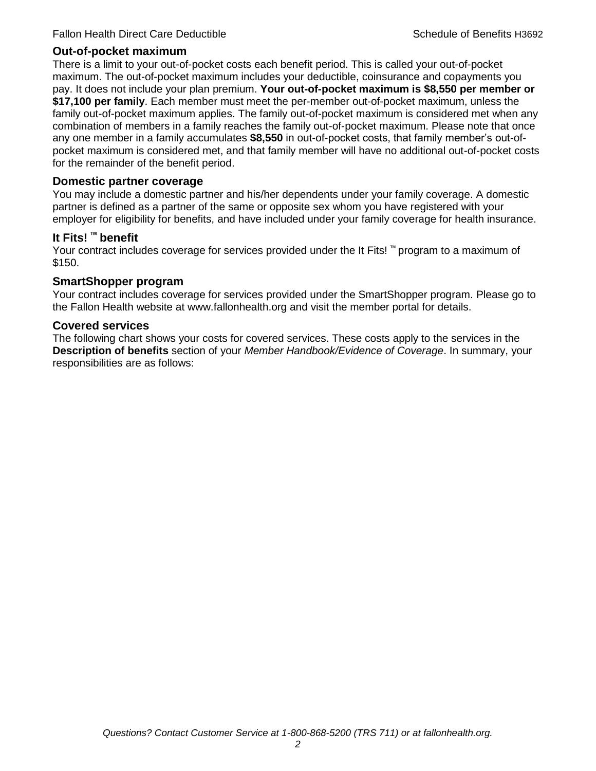# **Out-of-pocket maximum**

There is a limit to your out-of-pocket costs each benefit period. This is called your out-of-pocket maximum. The out-of-pocket maximum includes your deductible, coinsurance and copayments you pay. It does not include your plan premium. **Your out-of-pocket maximum is \$8,550 per member or \$17,100 per family**. Each member must meet the per-member out-of-pocket maximum, unless the family out-of-pocket maximum applies. The family out-of-pocket maximum is considered met when any combination of members in a family reaches the family out-of-pocket maximum. Please note that once any one member in a family accumulates **\$8,550** in out-of-pocket costs, that family member's out-ofpocket maximum is considered met, and that family member will have no additional out-of-pocket costs for the remainder of the benefit period.

## **Domestic partner coverage**

You may include a domestic partner and his/her dependents under your family coverage. A domestic partner is defined as a partner of the same or opposite sex whom you have registered with your employer for eligibility for benefits, and have included under your family coverage for health insurance.

# **It Fits! ™ benefit**

Your contract includes coverage for services provided under the It Fits! ™ program to a maximum of \$150.

# **SmartShopper program**

Your contract includes coverage for services provided under the SmartShopper program. Please go to the Fallon Health website at www.fallonhealth.org and visit the member portal for details.

#### **Covered services**

The following chart shows your costs for covered services. These costs apply to the services in the **Description of benefits** section of your *Member Handbook/Evidence of Coverage*. In summary, your responsibilities are as follows: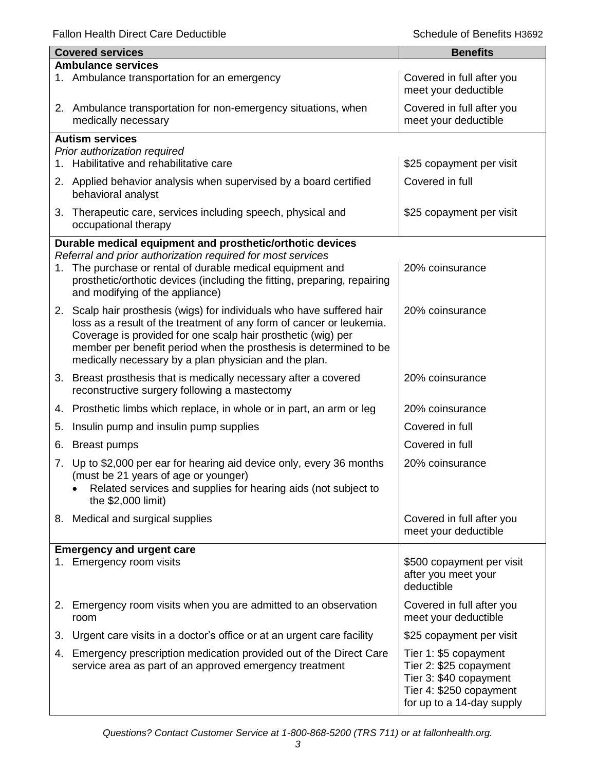Fallon Health Direct Care Deductible **Schedule of Benefits H3692** Schedule of Benefits H3692

|                           | <b>Covered services</b>                                                                                                                                                | <b>Benefits</b>                                   |  |
|---------------------------|------------------------------------------------------------------------------------------------------------------------------------------------------------------------|---------------------------------------------------|--|
| <b>Ambulance services</b> |                                                                                                                                                                        |                                                   |  |
|                           | 1. Ambulance transportation for an emergency                                                                                                                           | Covered in full after you<br>meet your deductible |  |
|                           | 2. Ambulance transportation for non-emergency situations, when<br>medically necessary                                                                                  | Covered in full after you<br>meet your deductible |  |
|                           | <b>Autism services</b>                                                                                                                                                 |                                                   |  |
|                           | Prior authorization required                                                                                                                                           |                                                   |  |
| 1.                        | Habilitative and rehabilitative care                                                                                                                                   | \$25 copayment per visit                          |  |
|                           | 2. Applied behavior analysis when supervised by a board certified<br>behavioral analyst                                                                                | Covered in full                                   |  |
|                           | 3. Therapeutic care, services including speech, physical and<br>occupational therapy                                                                                   | \$25 copayment per visit                          |  |
|                           | Durable medical equipment and prosthetic/orthotic devices                                                                                                              |                                                   |  |
|                           | Referral and prior authorization required for most services                                                                                                            |                                                   |  |
| 1.                        | The purchase or rental of durable medical equipment and<br>prosthetic/orthotic devices (including the fitting, preparing, repairing<br>and modifying of the appliance) | 20% coinsurance                                   |  |
|                           | 2. Scalp hair prosthesis (wigs) for individuals who have suffered hair                                                                                                 | 20% coinsurance                                   |  |
|                           | loss as a result of the treatment of any form of cancer or leukemia.                                                                                                   |                                                   |  |
|                           | Coverage is provided for one scalp hair prosthetic (wig) per                                                                                                           |                                                   |  |
|                           | member per benefit period when the prosthesis is determined to be<br>medically necessary by a plan physician and the plan.                                             |                                                   |  |
|                           |                                                                                                                                                                        |                                                   |  |
|                           | 3. Breast prosthesis that is medically necessary after a covered<br>reconstructive surgery following a mastectomy                                                      | 20% coinsurance                                   |  |
| 4.                        | Prosthetic limbs which replace, in whole or in part, an arm or leg                                                                                                     | 20% coinsurance                                   |  |
| 5.                        | Insulin pump and insulin pump supplies                                                                                                                                 | Covered in full                                   |  |
| 6.                        | <b>Breast pumps</b>                                                                                                                                                    | Covered in full                                   |  |
| 7.                        | Up to \$2,000 per ear for hearing aid device only, every 36 months                                                                                                     | 20% coinsurance                                   |  |
|                           | (must be 21 years of age or younger)                                                                                                                                   |                                                   |  |
|                           | Related services and supplies for hearing aids (not subject to<br>the \$2,000 limit)                                                                                   |                                                   |  |
|                           |                                                                                                                                                                        |                                                   |  |
|                           | 8. Medical and surgical supplies                                                                                                                                       | Covered in full after you<br>meet your deductible |  |
|                           |                                                                                                                                                                        |                                                   |  |
|                           | <b>Emergency and urgent care</b><br>1. Emergency room visits                                                                                                           | \$500 copayment per visit                         |  |
|                           |                                                                                                                                                                        | after you meet your                               |  |
|                           |                                                                                                                                                                        | deductible                                        |  |
| 2.                        | Emergency room visits when you are admitted to an observation                                                                                                          | Covered in full after you                         |  |
|                           | room                                                                                                                                                                   | meet your deductible                              |  |
| 3.                        | Urgent care visits in a doctor's office or at an urgent care facility                                                                                                  | \$25 copayment per visit                          |  |
| 4.                        | Emergency prescription medication provided out of the Direct Care                                                                                                      | Tier 1: \$5 copayment                             |  |
|                           | service area as part of an approved emergency treatment                                                                                                                | Tier 2: \$25 copayment                            |  |
|                           |                                                                                                                                                                        | Tier 3: \$40 copayment<br>Tier 4: \$250 copayment |  |
|                           |                                                                                                                                                                        | for up to a 14-day supply                         |  |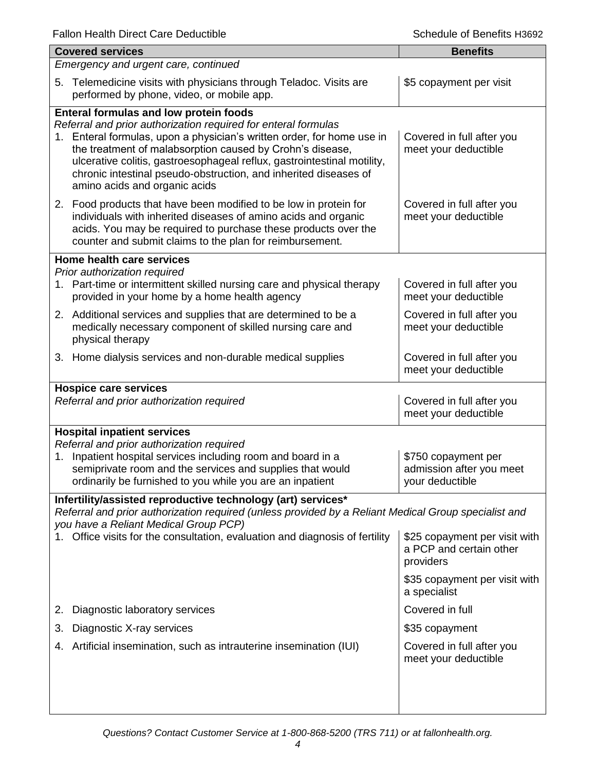|                                                                                                                                                                                                                                                                                                     | <b>Covered services</b>                                                                                                                                                                                                                                                                                                                                                                                                                | <b>Benefits</b>                                                       |  |
|-----------------------------------------------------------------------------------------------------------------------------------------------------------------------------------------------------------------------------------------------------------------------------------------------------|----------------------------------------------------------------------------------------------------------------------------------------------------------------------------------------------------------------------------------------------------------------------------------------------------------------------------------------------------------------------------------------------------------------------------------------|-----------------------------------------------------------------------|--|
| Emergency and urgent care, continued                                                                                                                                                                                                                                                                |                                                                                                                                                                                                                                                                                                                                                                                                                                        |                                                                       |  |
|                                                                                                                                                                                                                                                                                                     | 5. Telemedicine visits with physicians through Teladoc. Visits are<br>performed by phone, video, or mobile app.                                                                                                                                                                                                                                                                                                                        | \$5 copayment per visit                                               |  |
|                                                                                                                                                                                                                                                                                                     | <b>Enteral formulas and low protein foods</b><br>Referral and prior authorization required for enteral formulas<br>1. Enteral formulas, upon a physician's written order, for home use in<br>the treatment of malabsorption caused by Crohn's disease,<br>ulcerative colitis, gastroesophageal reflux, gastrointestinal motility,<br>chronic intestinal pseudo-obstruction, and inherited diseases of<br>amino acids and organic acids | Covered in full after you<br>meet your deductible                     |  |
|                                                                                                                                                                                                                                                                                                     | 2. Food products that have been modified to be low in protein for<br>individuals with inherited diseases of amino acids and organic<br>acids. You may be required to purchase these products over the<br>counter and submit claims to the plan for reimbursement.                                                                                                                                                                      | Covered in full after you<br>meet your deductible                     |  |
|                                                                                                                                                                                                                                                                                                     | Home health care services                                                                                                                                                                                                                                                                                                                                                                                                              |                                                                       |  |
|                                                                                                                                                                                                                                                                                                     | Prior authorization required<br>1. Part-time or intermittent skilled nursing care and physical therapy<br>provided in your home by a home health agency                                                                                                                                                                                                                                                                                | Covered in full after you<br>meet your deductible                     |  |
|                                                                                                                                                                                                                                                                                                     | 2. Additional services and supplies that are determined to be a<br>medically necessary component of skilled nursing care and<br>physical therapy                                                                                                                                                                                                                                                                                       | Covered in full after you<br>meet your deductible                     |  |
|                                                                                                                                                                                                                                                                                                     | 3. Home dialysis services and non-durable medical supplies                                                                                                                                                                                                                                                                                                                                                                             | Covered in full after you<br>meet your deductible                     |  |
|                                                                                                                                                                                                                                                                                                     | <b>Hospice care services</b><br>Referral and prior authorization required                                                                                                                                                                                                                                                                                                                                                              | Covered in full after you<br>meet your deductible                     |  |
| <b>Hospital inpatient services</b><br>Referral and prior authorization required<br>Inpatient hospital services including room and board in a<br>\$750 copayment per<br>1.<br>semiprivate room and the services and supplies that would<br>ordinarily be furnished to you while you are an inpatient |                                                                                                                                                                                                                                                                                                                                                                                                                                        | admission after you meet<br>your deductible                           |  |
|                                                                                                                                                                                                                                                                                                     | Infertility/assisted reproductive technology (art) services*                                                                                                                                                                                                                                                                                                                                                                           |                                                                       |  |
|                                                                                                                                                                                                                                                                                                     | Referral and prior authorization required (unless provided by a Reliant Medical Group specialist and<br>you have a Reliant Medical Group PCP)<br>Office visits for the consultation, evaluation and diagnosis of fertility                                                                                                                                                                                                             | \$25 copayment per visit with<br>a PCP and certain other<br>providers |  |
|                                                                                                                                                                                                                                                                                                     |                                                                                                                                                                                                                                                                                                                                                                                                                                        | \$35 copayment per visit with<br>a specialist                         |  |
| 2.                                                                                                                                                                                                                                                                                                  | Diagnostic laboratory services                                                                                                                                                                                                                                                                                                                                                                                                         | Covered in full                                                       |  |
| 3.                                                                                                                                                                                                                                                                                                  | Diagnostic X-ray services                                                                                                                                                                                                                                                                                                                                                                                                              | \$35 copayment                                                        |  |
| 4.                                                                                                                                                                                                                                                                                                  | Artificial insemination, such as intrauterine insemination (IUI)                                                                                                                                                                                                                                                                                                                                                                       | Covered in full after you<br>meet your deductible                     |  |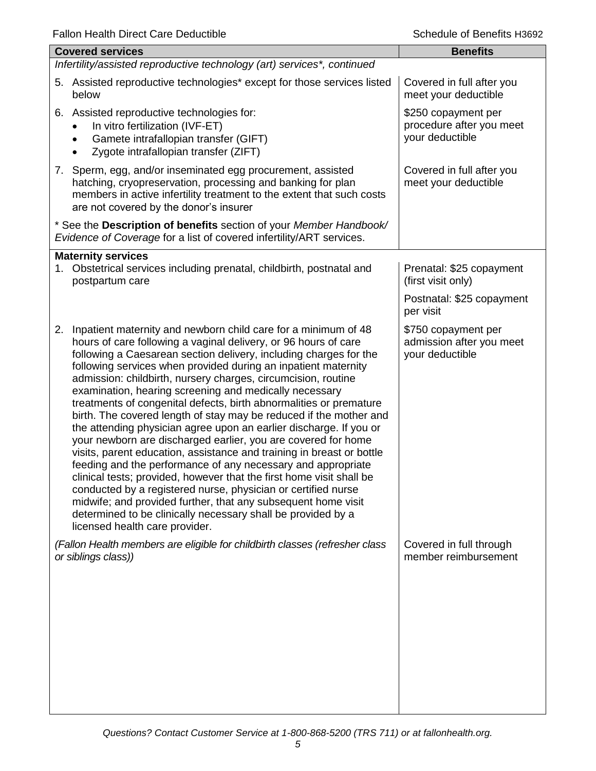| Falloff Health Direct Care Deductible<br>OCHEQUIE OF DEFIEITIO LIPOST                                                                                                                                                                                                                                                                                                                                                                                                                                                                                                                                                                                                                                                                                                                                                                                                                                                                                                                                                                                                                                                                             |                                                                    |  |  |
|---------------------------------------------------------------------------------------------------------------------------------------------------------------------------------------------------------------------------------------------------------------------------------------------------------------------------------------------------------------------------------------------------------------------------------------------------------------------------------------------------------------------------------------------------------------------------------------------------------------------------------------------------------------------------------------------------------------------------------------------------------------------------------------------------------------------------------------------------------------------------------------------------------------------------------------------------------------------------------------------------------------------------------------------------------------------------------------------------------------------------------------------------|--------------------------------------------------------------------|--|--|
| <b>Covered services</b>                                                                                                                                                                                                                                                                                                                                                                                                                                                                                                                                                                                                                                                                                                                                                                                                                                                                                                                                                                                                                                                                                                                           | <b>Benefits</b>                                                    |  |  |
| Infertility/assisted reproductive technology (art) services*, continued                                                                                                                                                                                                                                                                                                                                                                                                                                                                                                                                                                                                                                                                                                                                                                                                                                                                                                                                                                                                                                                                           |                                                                    |  |  |
| 5. Assisted reproductive technologies* except for those services listed<br>below                                                                                                                                                                                                                                                                                                                                                                                                                                                                                                                                                                                                                                                                                                                                                                                                                                                                                                                                                                                                                                                                  | Covered in full after you<br>meet your deductible                  |  |  |
| 6. Assisted reproductive technologies for:<br>In vitro fertilization (IVF-ET)<br>Gamete intrafallopian transfer (GIFT)<br>Zygote intrafallopian transfer (ZIFT)                                                                                                                                                                                                                                                                                                                                                                                                                                                                                                                                                                                                                                                                                                                                                                                                                                                                                                                                                                                   | \$250 copayment per<br>procedure after you meet<br>your deductible |  |  |
| 7. Sperm, egg, and/or inseminated egg procurement, assisted<br>hatching, cryopreservation, processing and banking for plan<br>members in active infertility treatment to the extent that such costs<br>are not covered by the donor's insurer                                                                                                                                                                                                                                                                                                                                                                                                                                                                                                                                                                                                                                                                                                                                                                                                                                                                                                     | Covered in full after you<br>meet your deductible                  |  |  |
| * See the Description of benefits section of your Member Handbook/<br>Evidence of Coverage for a list of covered infertility/ART services.                                                                                                                                                                                                                                                                                                                                                                                                                                                                                                                                                                                                                                                                                                                                                                                                                                                                                                                                                                                                        |                                                                    |  |  |
| <b>Maternity services</b>                                                                                                                                                                                                                                                                                                                                                                                                                                                                                                                                                                                                                                                                                                                                                                                                                                                                                                                                                                                                                                                                                                                         |                                                                    |  |  |
| Obstetrical services including prenatal, childbirth, postnatal and<br>1.<br>postpartum care                                                                                                                                                                                                                                                                                                                                                                                                                                                                                                                                                                                                                                                                                                                                                                                                                                                                                                                                                                                                                                                       | Prenatal: \$25 copayment<br>(first visit only)                     |  |  |
|                                                                                                                                                                                                                                                                                                                                                                                                                                                                                                                                                                                                                                                                                                                                                                                                                                                                                                                                                                                                                                                                                                                                                   | Postnatal: \$25 copayment<br>per visit                             |  |  |
| Inpatient maternity and newborn child care for a minimum of 48<br>2.<br>hours of care following a vaginal delivery, or 96 hours of care<br>following a Caesarean section delivery, including charges for the<br>following services when provided during an inpatient maternity<br>admission: childbirth, nursery charges, circumcision, routine<br>examination, hearing screening and medically necessary<br>treatments of congenital defects, birth abnormalities or premature<br>birth. The covered length of stay may be reduced if the mother and<br>the attending physician agree upon an earlier discharge. If you or<br>your newborn are discharged earlier, you are covered for home<br>visits, parent education, assistance and training in breast or bottle<br>feeding and the performance of any necessary and appropriate<br>clinical tests; provided, however that the first home visit shall be<br>conducted by a registered nurse, physician or certified nurse<br>midwife; and provided further, that any subsequent home visit<br>determined to be clinically necessary shall be provided by a<br>licensed health care provider. | \$750 copayment per<br>admission after you meet<br>your deductible |  |  |
| (Fallon Health members are eligible for childbirth classes (refresher class<br>or siblings class))                                                                                                                                                                                                                                                                                                                                                                                                                                                                                                                                                                                                                                                                                                                                                                                                                                                                                                                                                                                                                                                | Covered in full through<br>member reimbursement                    |  |  |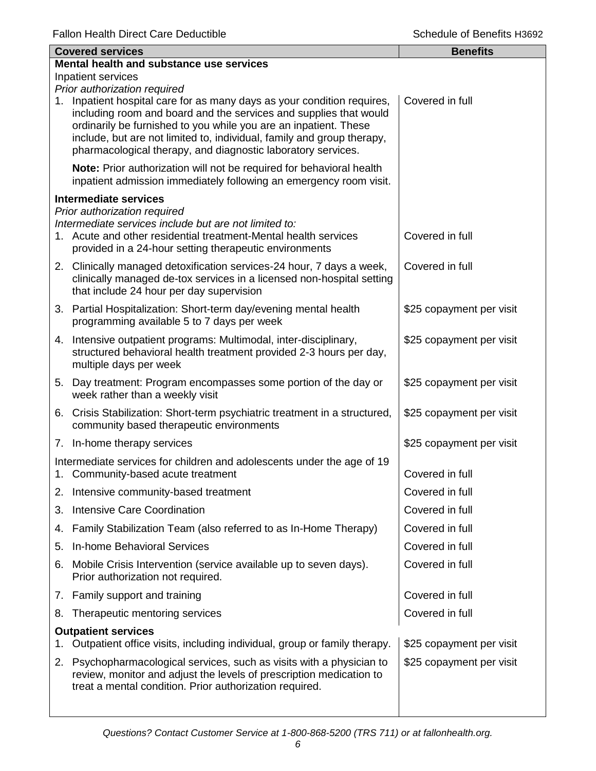|    | <b>Covered services</b>                                                                                                                                                                                                                                                                                                                                    | <b>Benefits</b>          |  |  |
|----|------------------------------------------------------------------------------------------------------------------------------------------------------------------------------------------------------------------------------------------------------------------------------------------------------------------------------------------------------------|--------------------------|--|--|
|    | Mental health and substance use services                                                                                                                                                                                                                                                                                                                   |                          |  |  |
|    | Inpatient services<br>Prior authorization required                                                                                                                                                                                                                                                                                                         |                          |  |  |
|    | 1. Inpatient hospital care for as many days as your condition requires,<br>including room and board and the services and supplies that would<br>ordinarily be furnished to you while you are an inpatient. These<br>include, but are not limited to, individual, family and group therapy,<br>pharmacological therapy, and diagnostic laboratory services. | Covered in full          |  |  |
|    | Note: Prior authorization will not be required for behavioral health<br>inpatient admission immediately following an emergency room visit.                                                                                                                                                                                                                 |                          |  |  |
|    | <b>Intermediate services</b>                                                                                                                                                                                                                                                                                                                               |                          |  |  |
|    | Prior authorization required<br>Intermediate services include but are not limited to:<br>1. Acute and other residential treatment-Mental health services<br>provided in a 24-hour setting therapeutic environments                                                                                                                                         | Covered in full          |  |  |
|    | 2. Clinically managed detoxification services-24 hour, 7 days a week,<br>clinically managed de-tox services in a licensed non-hospital setting<br>that include 24 hour per day supervision                                                                                                                                                                 | Covered in full          |  |  |
|    | 3. Partial Hospitalization: Short-term day/evening mental health<br>programming available 5 to 7 days per week                                                                                                                                                                                                                                             | \$25 copayment per visit |  |  |
|    | 4. Intensive outpatient programs: Multimodal, inter-disciplinary,<br>structured behavioral health treatment provided 2-3 hours per day,<br>multiple days per week                                                                                                                                                                                          | \$25 copayment per visit |  |  |
|    | 5. Day treatment: Program encompasses some portion of the day or<br>week rather than a weekly visit                                                                                                                                                                                                                                                        | \$25 copayment per visit |  |  |
|    | 6. Crisis Stabilization: Short-term psychiatric treatment in a structured,<br>community based therapeutic environments                                                                                                                                                                                                                                     | \$25 copayment per visit |  |  |
|    | 7. In-home therapy services                                                                                                                                                                                                                                                                                                                                | \$25 copayment per visit |  |  |
|    | Intermediate services for children and adolescents under the age of 19<br>1. Community-based acute treatment                                                                                                                                                                                                                                               | Covered in full          |  |  |
|    | 2. Intensive community-based treatment                                                                                                                                                                                                                                                                                                                     | Covered in full          |  |  |
| 3. | <b>Intensive Care Coordination</b>                                                                                                                                                                                                                                                                                                                         | Covered in full          |  |  |
| 4. | Family Stabilization Team (also referred to as In-Home Therapy)                                                                                                                                                                                                                                                                                            | Covered in full          |  |  |
| 5. | <b>In-home Behavioral Services</b>                                                                                                                                                                                                                                                                                                                         | Covered in full          |  |  |
|    | 6. Mobile Crisis Intervention (service available up to seven days).<br>Prior authorization not required.                                                                                                                                                                                                                                                   | Covered in full          |  |  |
|    | 7. Family support and training                                                                                                                                                                                                                                                                                                                             | Covered in full          |  |  |
| 8. | Therapeutic mentoring services                                                                                                                                                                                                                                                                                                                             | Covered in full          |  |  |
|    | <b>Outpatient services</b><br>Outpatient office visits, including individual, group or family therapy.                                                                                                                                                                                                                                                     | \$25 copayment per visit |  |  |
|    | 2. Psychopharmacological services, such as visits with a physician to<br>review, monitor and adjust the levels of prescription medication to<br>treat a mental condition. Prior authorization required.                                                                                                                                                    | \$25 copayment per visit |  |  |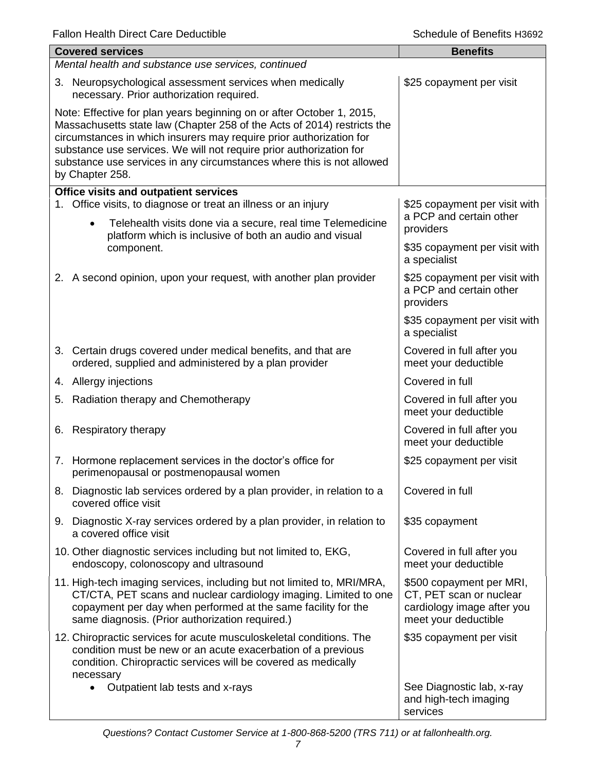|                                                                                                                                                                                                                                                                                                                                                                                            | <b>Covered services</b>                                                                                                                                                                                                                                        | <b>Benefits</b>                                                                                           |  |  |
|--------------------------------------------------------------------------------------------------------------------------------------------------------------------------------------------------------------------------------------------------------------------------------------------------------------------------------------------------------------------------------------------|----------------------------------------------------------------------------------------------------------------------------------------------------------------------------------------------------------------------------------------------------------------|-----------------------------------------------------------------------------------------------------------|--|--|
|                                                                                                                                                                                                                                                                                                                                                                                            | Mental health and substance use services, continued                                                                                                                                                                                                            |                                                                                                           |  |  |
|                                                                                                                                                                                                                                                                                                                                                                                            | 3. Neuropsychological assessment services when medically<br>necessary. Prior authorization required.                                                                                                                                                           | \$25 copayment per visit                                                                                  |  |  |
| Note: Effective for plan years beginning on or after October 1, 2015,<br>Massachusetts state law (Chapter 258 of the Acts of 2014) restricts the<br>circumstances in which insurers may require prior authorization for<br>substance use services. We will not require prior authorization for<br>substance use services in any circumstances where this is not allowed<br>by Chapter 258. |                                                                                                                                                                                                                                                                |                                                                                                           |  |  |
|                                                                                                                                                                                                                                                                                                                                                                                            | Office visits and outpatient services                                                                                                                                                                                                                          |                                                                                                           |  |  |
| 1.                                                                                                                                                                                                                                                                                                                                                                                         | Office visits, to diagnose or treat an illness or an injury<br>Telehealth visits done via a secure, real time Telemedicine<br>$\bullet$                                                                                                                        | \$25 copayment per visit with<br>a PCP and certain other<br>providers                                     |  |  |
|                                                                                                                                                                                                                                                                                                                                                                                            | platform which is inclusive of both an audio and visual<br>component.                                                                                                                                                                                          | \$35 copayment per visit with<br>a specialist                                                             |  |  |
|                                                                                                                                                                                                                                                                                                                                                                                            | 2. A second opinion, upon your request, with another plan provider                                                                                                                                                                                             | \$25 copayment per visit with<br>a PCP and certain other<br>providers                                     |  |  |
|                                                                                                                                                                                                                                                                                                                                                                                            |                                                                                                                                                                                                                                                                | \$35 copayment per visit with<br>a specialist                                                             |  |  |
|                                                                                                                                                                                                                                                                                                                                                                                            | 3. Certain drugs covered under medical benefits, and that are<br>ordered, supplied and administered by a plan provider                                                                                                                                         | Covered in full after you<br>meet your deductible                                                         |  |  |
|                                                                                                                                                                                                                                                                                                                                                                                            | 4. Allergy injections                                                                                                                                                                                                                                          | Covered in full                                                                                           |  |  |
|                                                                                                                                                                                                                                                                                                                                                                                            | 5. Radiation therapy and Chemotherapy                                                                                                                                                                                                                          | Covered in full after you<br>meet your deductible                                                         |  |  |
| 6.                                                                                                                                                                                                                                                                                                                                                                                         | Respiratory therapy                                                                                                                                                                                                                                            | Covered in full after you<br>meet your deductible                                                         |  |  |
|                                                                                                                                                                                                                                                                                                                                                                                            | 7. Hormone replacement services in the doctor's office for<br>perimenopausal or postmenopausal women                                                                                                                                                           | \$25 copayment per visit                                                                                  |  |  |
|                                                                                                                                                                                                                                                                                                                                                                                            | 8. Diagnostic lab services ordered by a plan provider, in relation to a<br>covered office visit                                                                                                                                                                | Covered in full                                                                                           |  |  |
|                                                                                                                                                                                                                                                                                                                                                                                            | 9. Diagnostic X-ray services ordered by a plan provider, in relation to<br>a covered office visit                                                                                                                                                              | \$35 copayment                                                                                            |  |  |
|                                                                                                                                                                                                                                                                                                                                                                                            | 10. Other diagnostic services including but not limited to, EKG,<br>endoscopy, colonoscopy and ultrasound                                                                                                                                                      | Covered in full after you<br>meet your deductible                                                         |  |  |
|                                                                                                                                                                                                                                                                                                                                                                                            | 11. High-tech imaging services, including but not limited to, MRI/MRA,<br>CT/CTA, PET scans and nuclear cardiology imaging. Limited to one<br>copayment per day when performed at the same facility for the<br>same diagnosis. (Prior authorization required.) | \$500 copayment per MRI,<br>CT, PET scan or nuclear<br>cardiology image after you<br>meet your deductible |  |  |
|                                                                                                                                                                                                                                                                                                                                                                                            | 12. Chiropractic services for acute musculoskeletal conditions. The<br>condition must be new or an acute exacerbation of a previous<br>condition. Chiropractic services will be covered as medically                                                           | \$35 copayment per visit                                                                                  |  |  |
|                                                                                                                                                                                                                                                                                                                                                                                            | necessary<br>Outpatient lab tests and x-rays                                                                                                                                                                                                                   | See Diagnostic lab, x-ray<br>and high-tech imaging<br>services                                            |  |  |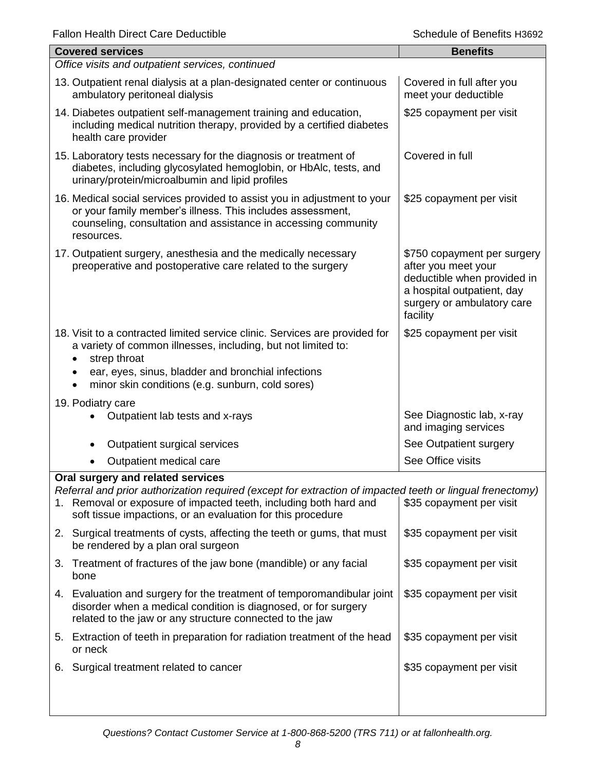| ı alıvı i içallı Dilçel Calç Deugeliple                                                                                                                                                                                                                                            | ochedale of beheilts Hoosz                                                                                                                                |  |  |
|------------------------------------------------------------------------------------------------------------------------------------------------------------------------------------------------------------------------------------------------------------------------------------|-----------------------------------------------------------------------------------------------------------------------------------------------------------|--|--|
| <b>Covered services</b>                                                                                                                                                                                                                                                            | <b>Benefits</b>                                                                                                                                           |  |  |
| Office visits and outpatient services, continued                                                                                                                                                                                                                                   |                                                                                                                                                           |  |  |
| 13. Outpatient renal dialysis at a plan-designated center or continuous<br>ambulatory peritoneal dialysis                                                                                                                                                                          | Covered in full after you<br>meet your deductible                                                                                                         |  |  |
| 14. Diabetes outpatient self-management training and education,<br>including medical nutrition therapy, provided by a certified diabetes<br>health care provider                                                                                                                   | \$25 copayment per visit                                                                                                                                  |  |  |
| 15. Laboratory tests necessary for the diagnosis or treatment of<br>diabetes, including glycosylated hemoglobin, or HbAlc, tests, and<br>urinary/protein/microalbumin and lipid profiles                                                                                           | Covered in full                                                                                                                                           |  |  |
| 16. Medical social services provided to assist you in adjustment to your<br>or your family member's illness. This includes assessment,<br>counseling, consultation and assistance in accessing community<br>resources.                                                             | \$25 copayment per visit                                                                                                                                  |  |  |
| 17. Outpatient surgery, anesthesia and the medically necessary<br>preoperative and postoperative care related to the surgery                                                                                                                                                       | \$750 copayment per surgery<br>after you meet your<br>deductible when provided in<br>a hospital outpatient, day<br>surgery or ambulatory care<br>facility |  |  |
| 18. Visit to a contracted limited service clinic. Services are provided for<br>a variety of common illnesses, including, but not limited to:<br>strep throat<br>ear, eyes, sinus, bladder and bronchial infections<br>minor skin conditions (e.g. sunburn, cold sores)             | \$25 copayment per visit                                                                                                                                  |  |  |
| 19. Podiatry care                                                                                                                                                                                                                                                                  |                                                                                                                                                           |  |  |
| Outpatient lab tests and x-rays                                                                                                                                                                                                                                                    | See Diagnostic lab, x-ray<br>and imaging services                                                                                                         |  |  |
| Outpatient surgical services                                                                                                                                                                                                                                                       | See Outpatient surgery                                                                                                                                    |  |  |
| Outpatient medical care                                                                                                                                                                                                                                                            | See Office visits                                                                                                                                         |  |  |
| Oral surgery and related services<br>Referral and prior authorization required (except for extraction of impacted teeth or lingual frenectomy)<br>1. Removal or exposure of impacted teeth, including both hard and<br>soft tissue impactions, or an evaluation for this procedure | \$35 copayment per visit                                                                                                                                  |  |  |
| 2. Surgical treatments of cysts, affecting the teeth or gums, that must<br>be rendered by a plan oral surgeon                                                                                                                                                                      | \$35 copayment per visit                                                                                                                                  |  |  |
| Treatment of fractures of the jaw bone (mandible) or any facial<br>3.<br>bone                                                                                                                                                                                                      | \$35 copayment per visit                                                                                                                                  |  |  |
| 4. Evaluation and surgery for the treatment of temporomandibular joint<br>disorder when a medical condition is diagnosed, or for surgery<br>related to the jaw or any structure connected to the jaw                                                                               | \$35 copayment per visit                                                                                                                                  |  |  |
| Extraction of teeth in preparation for radiation treatment of the head<br>5.<br>or neck                                                                                                                                                                                            | \$35 copayment per visit                                                                                                                                  |  |  |
| Surgical treatment related to cancer<br>6.                                                                                                                                                                                                                                         | \$35 copayment per visit                                                                                                                                  |  |  |
|                                                                                                                                                                                                                                                                                    |                                                                                                                                                           |  |  |

*Questions? Contact Customer Service at 1-800-868-5200 (TRS 711) or at fallonhealth.org.*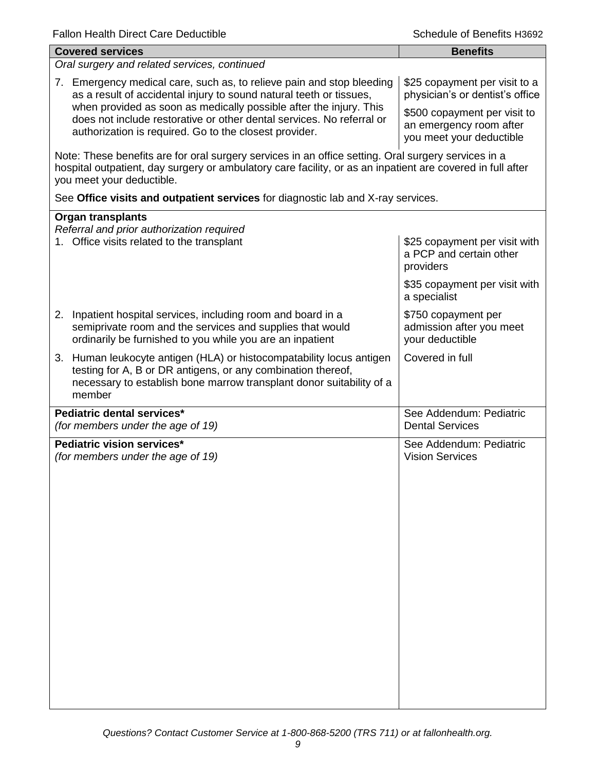| <b>Covered services</b>                                                                                                                                                                                                                        | <b>Benefits</b>                                                                     |  |  |
|------------------------------------------------------------------------------------------------------------------------------------------------------------------------------------------------------------------------------------------------|-------------------------------------------------------------------------------------|--|--|
| Oral surgery and related services, continued                                                                                                                                                                                                   |                                                                                     |  |  |
| 7. Emergency medical care, such as, to relieve pain and stop bleeding<br>as a result of accidental injury to sound natural teeth or tissues,<br>when provided as soon as medically possible after the injury. This                             | \$25 copayment per visit to a<br>physician's or dentist's office                    |  |  |
| does not include restorative or other dental services. No referral or<br>authorization is required. Go to the closest provider.                                                                                                                | \$500 copayment per visit to<br>an emergency room after<br>you meet your deductible |  |  |
| Note: These benefits are for oral surgery services in an office setting. Oral surgery services in a<br>hospital outpatient, day surgery or ambulatory care facility, or as an inpatient are covered in full after<br>you meet your deductible. |                                                                                     |  |  |
| See Office visits and outpatient services for diagnostic lab and X-ray services.                                                                                                                                                               |                                                                                     |  |  |
| <b>Organ transplants</b>                                                                                                                                                                                                                       |                                                                                     |  |  |
| Referral and prior authorization required<br>1. Office visits related to the transplant                                                                                                                                                        | \$25 copayment per visit with<br>a PCP and certain other<br>providers               |  |  |
|                                                                                                                                                                                                                                                | \$35 copayment per visit with<br>a specialist                                       |  |  |
| 2. Inpatient hospital services, including room and board in a<br>semiprivate room and the services and supplies that would<br>ordinarily be furnished to you while you are an inpatient                                                        | \$750 copayment per<br>admission after you meet<br>your deductible                  |  |  |
| 3. Human leukocyte antigen (HLA) or histocompatability locus antigen<br>testing for A, B or DR antigens, or any combination thereof,<br>necessary to establish bone marrow transplant donor suitability of a<br>member                         | Covered in full                                                                     |  |  |
| Pediatric dental services*<br>(for members under the age of 19)                                                                                                                                                                                | See Addendum: Pediatric<br><b>Dental Services</b>                                   |  |  |
| Pediatric vision services*<br>(for members under the age of 19)                                                                                                                                                                                | See Addendum: Pediatric<br><b>Vision Services</b>                                   |  |  |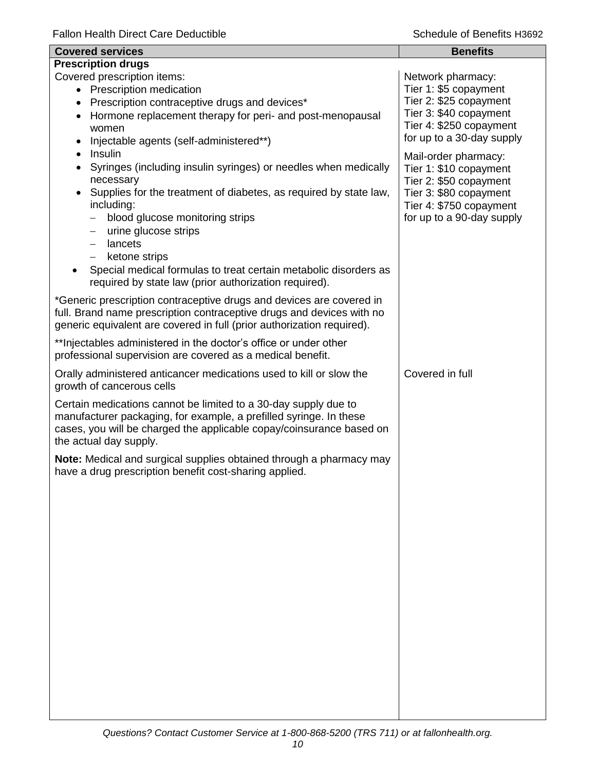| <b>Covered services</b>                                                                                                                                                                                                                                                                                                                                                                                                                                        | <b>Benefits</b>                                                                                                                                            |
|----------------------------------------------------------------------------------------------------------------------------------------------------------------------------------------------------------------------------------------------------------------------------------------------------------------------------------------------------------------------------------------------------------------------------------------------------------------|------------------------------------------------------------------------------------------------------------------------------------------------------------|
| <b>Prescription drugs</b><br>Covered prescription items:<br>• Prescription medication<br>Prescription contraceptive drugs and devices*<br>٠<br>Hormone replacement therapy for peri- and post-menopausal<br>$\bullet$<br>women<br>Injectable agents (self-administered**)                                                                                                                                                                                      | Network pharmacy:<br>Tier 1: \$5 copayment<br>Tier 2: \$25 copayment<br>Tier 3: \$40 copayment<br>Tier 4: \$250 copayment<br>for up to a 30-day supply     |
| Insulin<br>Syringes (including insulin syringes) or needles when medically<br>$\bullet$<br>necessary<br>Supplies for the treatment of diabetes, as required by state law,<br>$\bullet$<br>including:<br>blood glucose monitoring strips<br>—<br>urine glucose strips<br>—<br>lancets<br>$\overline{\phantom{0}}$<br>ketone strips<br>Special medical formulas to treat certain metabolic disorders as<br>required by state law (prior authorization required). | Mail-order pharmacy:<br>Tier 1: \$10 copayment<br>Tier 2: \$50 copayment<br>Tier 3: \$80 copayment<br>Tier 4: \$750 copayment<br>for up to a 90-day supply |
| *Generic prescription contraceptive drugs and devices are covered in<br>full. Brand name prescription contraceptive drugs and devices with no<br>generic equivalent are covered in full (prior authorization required).                                                                                                                                                                                                                                        |                                                                                                                                                            |
| ** Injectables administered in the doctor's office or under other<br>professional supervision are covered as a medical benefit.                                                                                                                                                                                                                                                                                                                                |                                                                                                                                                            |
| Orally administered anticancer medications used to kill or slow the<br>growth of cancerous cells                                                                                                                                                                                                                                                                                                                                                               | Covered in full                                                                                                                                            |
| Certain medications cannot be limited to a 30-day supply due to<br>manufacturer packaging, for example, a prefilled syringe. In these<br>cases, you will be charged the applicable copay/coinsurance based on<br>the actual day supply.                                                                                                                                                                                                                        |                                                                                                                                                            |
| Note: Medical and surgical supplies obtained through a pharmacy may<br>have a drug prescription benefit cost-sharing applied.                                                                                                                                                                                                                                                                                                                                  |                                                                                                                                                            |
|                                                                                                                                                                                                                                                                                                                                                                                                                                                                |                                                                                                                                                            |
|                                                                                                                                                                                                                                                                                                                                                                                                                                                                |                                                                                                                                                            |
|                                                                                                                                                                                                                                                                                                                                                                                                                                                                |                                                                                                                                                            |
|                                                                                                                                                                                                                                                                                                                                                                                                                                                                |                                                                                                                                                            |
|                                                                                                                                                                                                                                                                                                                                                                                                                                                                |                                                                                                                                                            |
|                                                                                                                                                                                                                                                                                                                                                                                                                                                                |                                                                                                                                                            |
|                                                                                                                                                                                                                                                                                                                                                                                                                                                                |                                                                                                                                                            |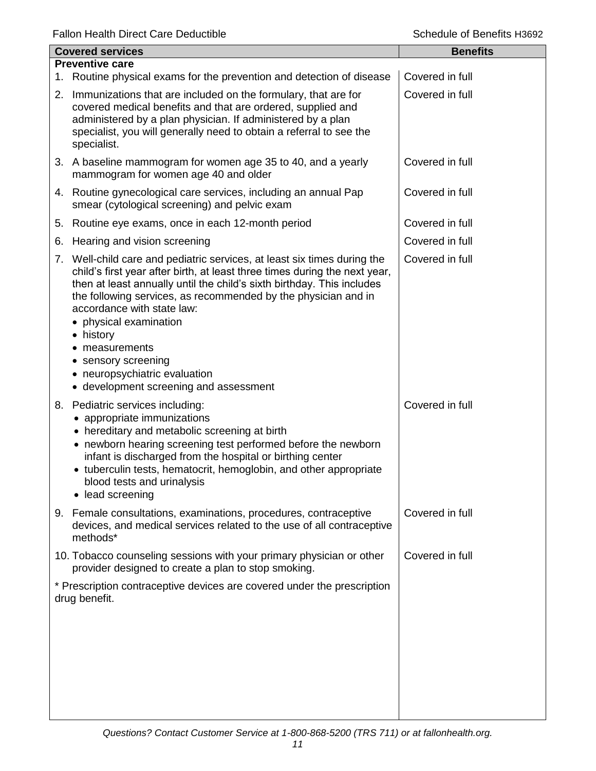| <b>Covered services</b> |                                                                                                                                                                                                                                                                                                                                                                                                                                                                                           | <b>Benefits</b> |
|-------------------------|-------------------------------------------------------------------------------------------------------------------------------------------------------------------------------------------------------------------------------------------------------------------------------------------------------------------------------------------------------------------------------------------------------------------------------------------------------------------------------------------|-----------------|
|                         | <b>Preventive care</b><br>1. Routine physical exams for the prevention and detection of disease                                                                                                                                                                                                                                                                                                                                                                                           | Covered in full |
|                         | 2. Immunizations that are included on the formulary, that are for<br>covered medical benefits and that are ordered, supplied and<br>administered by a plan physician. If administered by a plan<br>specialist, you will generally need to obtain a referral to see the<br>specialist.                                                                                                                                                                                                     | Covered in full |
|                         | 3. A baseline mammogram for women age 35 to 40, and a yearly<br>mammogram for women age 40 and older                                                                                                                                                                                                                                                                                                                                                                                      | Covered in full |
|                         | 4. Routine gynecological care services, including an annual Pap<br>smear (cytological screening) and pelvic exam                                                                                                                                                                                                                                                                                                                                                                          | Covered in full |
| 5.                      | Routine eye exams, once in each 12-month period                                                                                                                                                                                                                                                                                                                                                                                                                                           | Covered in full |
| 6.                      | Hearing and vision screening                                                                                                                                                                                                                                                                                                                                                                                                                                                              | Covered in full |
|                         | 7. Well-child care and pediatric services, at least six times during the<br>child's first year after birth, at least three times during the next year,<br>then at least annually until the child's sixth birthday. This includes<br>the following services, as recommended by the physician and in<br>accordance with state law:<br>• physical examination<br>• history<br>measurements<br>• sensory screening<br>• neuropsychiatric evaluation<br>• development screening and assessment | Covered in full |
|                         | 8. Pediatric services including:<br>appropriate immunizations<br>• hereditary and metabolic screening at birth<br>• newborn hearing screening test performed before the newborn<br>infant is discharged from the hospital or birthing center<br>• tuberculin tests, hematocrit, hemoglobin, and other appropriate<br>blood tests and urinalysis<br>lead screening<br>$\bullet$                                                                                                            | Covered in full |
| 9.                      | Female consultations, examinations, procedures, contraceptive<br>devices, and medical services related to the use of all contraceptive<br>methods*                                                                                                                                                                                                                                                                                                                                        | Covered in full |
|                         | 10. Tobacco counseling sessions with your primary physician or other<br>provider designed to create a plan to stop smoking.                                                                                                                                                                                                                                                                                                                                                               | Covered in full |
|                         | * Prescription contraceptive devices are covered under the prescription<br>drug benefit.                                                                                                                                                                                                                                                                                                                                                                                                  |                 |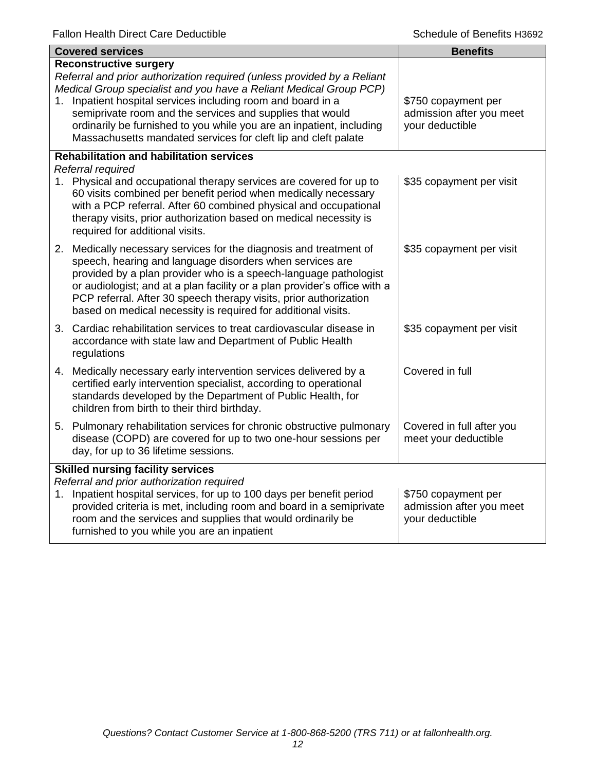|                                          | <b>Covered services</b>                                                                                                                                                                                                                                                                                                                                                                                                                            | <b>Benefits</b>                                                    |  |
|------------------------------------------|----------------------------------------------------------------------------------------------------------------------------------------------------------------------------------------------------------------------------------------------------------------------------------------------------------------------------------------------------------------------------------------------------------------------------------------------------|--------------------------------------------------------------------|--|
| 1.                                       | <b>Reconstructive surgery</b><br>Referral and prior authorization required (unless provided by a Reliant<br>Medical Group specialist and you have a Reliant Medical Group PCP)<br>Inpatient hospital services including room and board in a<br>semiprivate room and the services and supplies that would<br>ordinarily be furnished to you while you are an inpatient, including<br>Massachusetts mandated services for cleft lip and cleft palate | \$750 copayment per<br>admission after you meet<br>your deductible |  |
|                                          | <b>Rehabilitation and habilitation services</b>                                                                                                                                                                                                                                                                                                                                                                                                    |                                                                    |  |
|                                          | Referral required<br>1. Physical and occupational therapy services are covered for up to<br>60 visits combined per benefit period when medically necessary<br>with a PCP referral. After 60 combined physical and occupational<br>therapy visits, prior authorization based on medical necessity is<br>required for additional visits.                                                                                                             | \$35 copayment per visit                                           |  |
|                                          | 2. Medically necessary services for the diagnosis and treatment of<br>speech, hearing and language disorders when services are<br>provided by a plan provider who is a speech-language pathologist<br>or audiologist; and at a plan facility or a plan provider's office with a<br>PCP referral. After 30 speech therapy visits, prior authorization<br>based on medical necessity is required for additional visits.                              | \$35 copayment per visit                                           |  |
|                                          | 3. Cardiac rehabilitation services to treat cardiovascular disease in<br>accordance with state law and Department of Public Health<br>regulations                                                                                                                                                                                                                                                                                                  | \$35 copayment per visit                                           |  |
|                                          | 4. Medically necessary early intervention services delivered by a<br>certified early intervention specialist, according to operational<br>standards developed by the Department of Public Health, for<br>children from birth to their third birthday.                                                                                                                                                                                              | Covered in full                                                    |  |
|                                          | 5. Pulmonary rehabilitation services for chronic obstructive pulmonary<br>disease (COPD) are covered for up to two one-hour sessions per<br>day, for up to 36 lifetime sessions.                                                                                                                                                                                                                                                                   | Covered in full after you<br>meet your deductible                  |  |
| <b>Skilled nursing facility services</b> |                                                                                                                                                                                                                                                                                                                                                                                                                                                    |                                                                    |  |
|                                          | Referral and prior authorization required<br>1. Inpatient hospital services, for up to 100 days per benefit period<br>provided criteria is met, including room and board in a semiprivate<br>room and the services and supplies that would ordinarily be<br>furnished to you while you are an inpatient                                                                                                                                            | \$750 copayment per<br>admission after you meet<br>your deductible |  |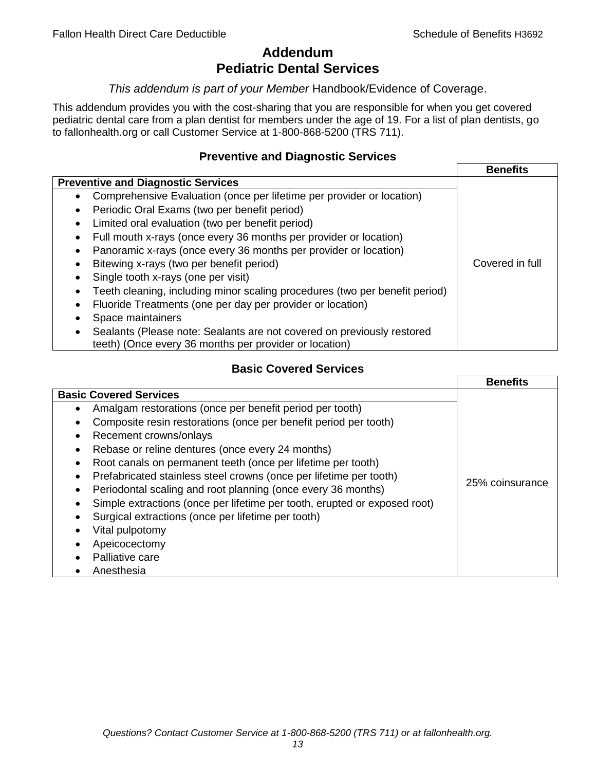# **Addendum Pediatric Dental Services**

# *This addendum is part of your Member* Handbook/Evidence of Coverage.

This addendum provides you with the cost-sharing that you are responsible for when you get covered pediatric dental care from a plan dentist for members under the age of 19. For a list of plan dentists, go to fallonhealth.org or call Customer Service at 1-800-868-5200 (TRS 711).

# **Preventive and Diagnostic Services**

|                                                                                    | <b>Benefits</b> |
|------------------------------------------------------------------------------------|-----------------|
| <b>Preventive and Diagnostic Services</b>                                          |                 |
| Comprehensive Evaluation (once per lifetime per provider or location)<br>$\bullet$ |                 |
| Periodic Oral Exams (two per benefit period)<br>$\bullet$                          |                 |
| Limited oral evaluation (two per benefit period)<br>$\bullet$                      |                 |
| Full mouth x-rays (once every 36 months per provider or location)                  |                 |
| Panoramic x-rays (once every 36 months per provider or location)                   |                 |
| Bitewing x-rays (two per benefit period)<br>٠                                      | Covered in full |
| Single tooth x-rays (one per visit)                                                |                 |
| Teeth cleaning, including minor scaling procedures (two per benefit period)        |                 |
| Fluoride Treatments (one per day per provider or location)                         |                 |
| Space maintainers                                                                  |                 |
| Sealants (Please note: Sealants are not covered on previously restored             |                 |
| teeth) (Once every 36 months per provider or location)                             |                 |

# **Basic Covered Services**

|                                                                           | <b>Benefits</b> |
|---------------------------------------------------------------------------|-----------------|
| <b>Basic Covered Services</b>                                             |                 |
| Amalgam restorations (once per benefit period per tooth)                  |                 |
| Composite resin restorations (once per benefit period per tooth)          |                 |
| Recement crowns/onlays                                                    |                 |
| Rebase or reline dentures (once every 24 months)                          |                 |
| Root canals on permanent teeth (once per lifetime per tooth)              |                 |
| Prefabricated stainless steel crowns (once per lifetime per tooth)        |                 |
| Periodontal scaling and root planning (once every 36 months)              | 25% coinsurance |
| Simple extractions (once per lifetime per tooth, erupted or exposed root) |                 |
| Surgical extractions (once per lifetime per tooth)                        |                 |
| Vital pulpotomy                                                           |                 |
| Apeicocectomy                                                             |                 |
| Palliative care                                                           |                 |
| Anesthesia                                                                |                 |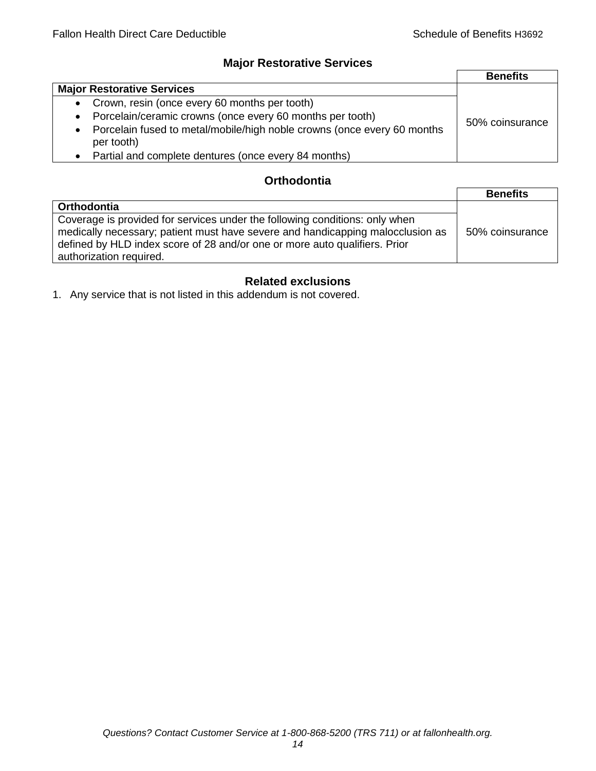# **Major Restorative Services**

|                                                                                                    | <b>Benefits</b> |
|----------------------------------------------------------------------------------------------------|-----------------|
| <b>Major Restorative Services</b>                                                                  |                 |
| • Crown, resin (once every 60 months per tooth)                                                    |                 |
| • Porcelain/ceramic crowns (once every 60 months per tooth)                                        | 50% coinsurance |
| Porcelain fused to metal/mobile/high noble crowns (once every 60 months<br>$\bullet$<br>per tooth) |                 |
| • Partial and complete dentures (once every 84 months)                                             |                 |

# **Orthodontia**

|                                                                                                                                                                                                                                                                        | <b>Benefits</b> |
|------------------------------------------------------------------------------------------------------------------------------------------------------------------------------------------------------------------------------------------------------------------------|-----------------|
| <b>Orthodontia</b>                                                                                                                                                                                                                                                     |                 |
| Coverage is provided for services under the following conditions: only when<br>medically necessary; patient must have severe and handicapping malocclusion as<br>defined by HLD index score of 28 and/or one or more auto qualifiers. Prior<br>authorization required. | 50% coinsurance |

# **Related exclusions**

1. Any service that is not listed in this addendum is not covered.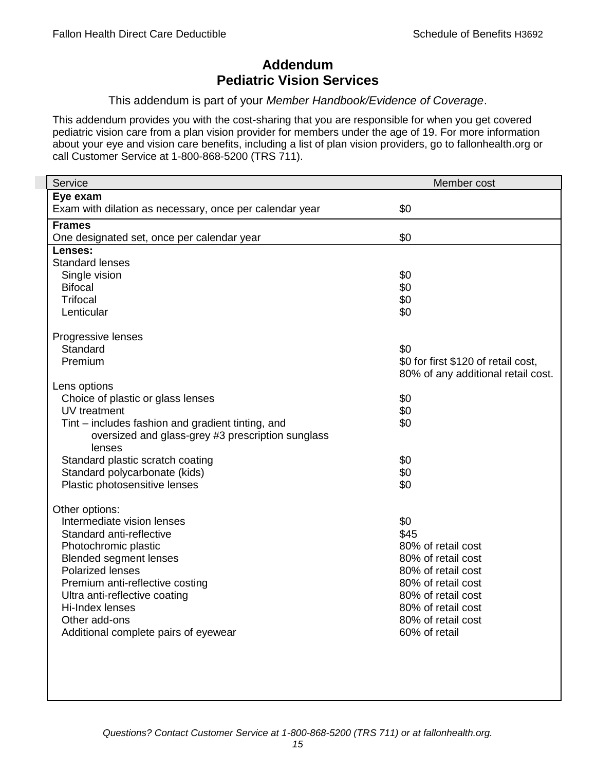# **Addendum Pediatric Vision Services**

# This addendum is part of your *Member Handbook/Evidence of Coverage*.

This addendum provides you with the cost-sharing that you are responsible for when you get covered pediatric vision care from a plan vision provider for members under the age of 19. For more information about your eye and vision care benefits, including a list of plan vision providers, go to fallonhealth.org or call Customer Service at 1-800-868-5200 (TRS 711).

| Service                                                 | Member cost                         |
|---------------------------------------------------------|-------------------------------------|
| Eye exam                                                |                                     |
| Exam with dilation as necessary, once per calendar year | \$0                                 |
| <b>Frames</b>                                           |                                     |
| One designated set, once per calendar year              | \$0                                 |
| Lenses:                                                 |                                     |
| <b>Standard lenses</b>                                  |                                     |
| Single vision                                           | \$0                                 |
| <b>Bifocal</b>                                          | \$0                                 |
| <b>Trifocal</b>                                         | \$0                                 |
| Lenticular                                              | \$0                                 |
| Progressive lenses                                      |                                     |
| Standard                                                | \$0                                 |
| Premium                                                 | \$0 for first \$120 of retail cost, |
|                                                         | 80% of any additional retail cost.  |
| Lens options                                            |                                     |
| Choice of plastic or glass lenses                       | \$0                                 |
| UV treatment                                            | \$0                                 |
| Tint – includes fashion and gradient tinting, and       | \$0                                 |
| oversized and glass-grey #3 prescription sunglass       |                                     |
| lenses                                                  |                                     |
| Standard plastic scratch coating                        | \$0                                 |
| Standard polycarbonate (kids)                           | \$0                                 |
| Plastic photosensitive lenses                           | \$0                                 |
| Other options:                                          |                                     |
| Intermediate vision lenses                              | \$0                                 |
| Standard anti-reflective                                | \$45                                |
| Photochromic plastic                                    | 80% of retail cost                  |
| <b>Blended segment lenses</b>                           | 80% of retail cost                  |
| <b>Polarized lenses</b>                                 | 80% of retail cost                  |
| Premium anti-reflective costing                         | 80% of retail cost                  |
| Ultra anti-reflective coating                           | 80% of retail cost                  |
| Hi-Index lenses                                         | 80% of retail cost                  |
| Other add-ons                                           | 80% of retail cost                  |
| Additional complete pairs of eyewear                    | 60% of retail                       |
|                                                         |                                     |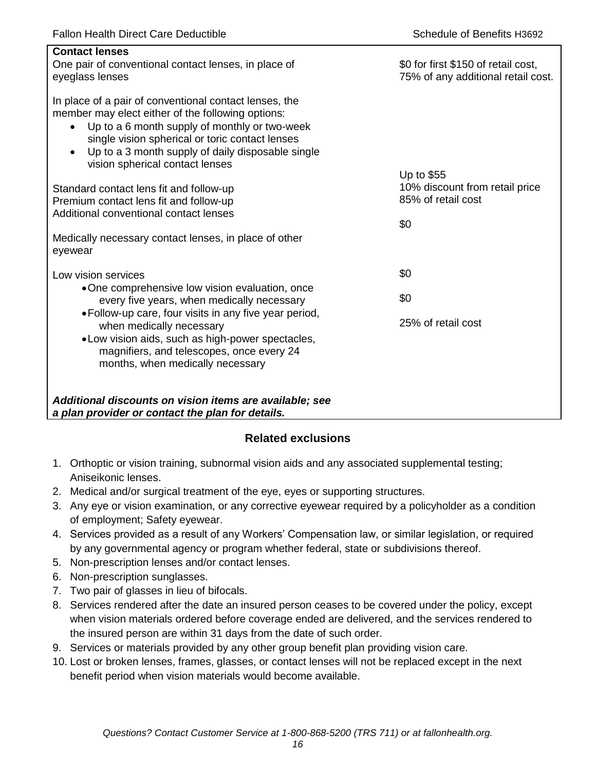| <b>Contact lenses</b><br>One pair of conventional contact lenses, in place of<br>eyeglass lenses                                                                                                                                                                                                                                  | \$0 for first \$150 of retail cost,<br>75% of any additional retail cost. |
|-----------------------------------------------------------------------------------------------------------------------------------------------------------------------------------------------------------------------------------------------------------------------------------------------------------------------------------|---------------------------------------------------------------------------|
| In place of a pair of conventional contact lenses, the<br>member may elect either of the following options:<br>Up to a 6 month supply of monthly or two-week<br>$\bullet$<br>single vision spherical or toric contact lenses<br>Up to a 3 month supply of daily disposable single<br>$\bullet$<br>vision spherical contact lenses |                                                                           |
| Standard contact lens fit and follow-up<br>Premium contact lens fit and follow-up<br>Additional conventional contact lenses                                                                                                                                                                                                       | Up to \$55<br>10% discount from retail price<br>85% of retail cost        |
| Medically necessary contact lenses, in place of other<br>eyewear                                                                                                                                                                                                                                                                  | \$0                                                                       |
| Low vision services                                                                                                                                                                                                                                                                                                               | \$0                                                                       |
| •One comprehensive low vision evaluation, once<br>every five years, when medically necessary                                                                                                                                                                                                                                      | \$0                                                                       |
| • Follow-up care, four visits in any five year period,<br>when medically necessary<br>• Low vision aids, such as high-power spectacles,<br>magnifiers, and telescopes, once every 24<br>months, when medically necessary                                                                                                          | 25% of retail cost                                                        |
| Additional discounts on vision items are available; see<br>a plan provider or contact the plan for details.                                                                                                                                                                                                                       |                                                                           |

# **Related exclusions**

- 1. Orthoptic or vision training, subnormal vision aids and any associated supplemental testing; Aniseikonic lenses.
- 2. Medical and/or surgical treatment of the eye, eyes or supporting structures.
- 3. Any eye or vision examination, or any corrective eyewear required by a policyholder as a condition of employment; Safety eyewear.
- 4. Services provided as a result of any Workers' Compensation law, or similar legislation, or required by any governmental agency or program whether federal, state or subdivisions thereof.
- 5. Non-prescription lenses and/or contact lenses.
- 6. Non-prescription sunglasses.
- 7. Two pair of glasses in lieu of bifocals.
- 8. Services rendered after the date an insured person ceases to be covered under the policy, except when vision materials ordered before coverage ended are delivered, and the services rendered to the insured person are within 31 days from the date of such order.
- 9. Services or materials provided by any other group benefit plan providing vision care.
- 10. Lost or broken lenses, frames, glasses, or contact lenses will not be replaced except in the next benefit period when vision materials would become available.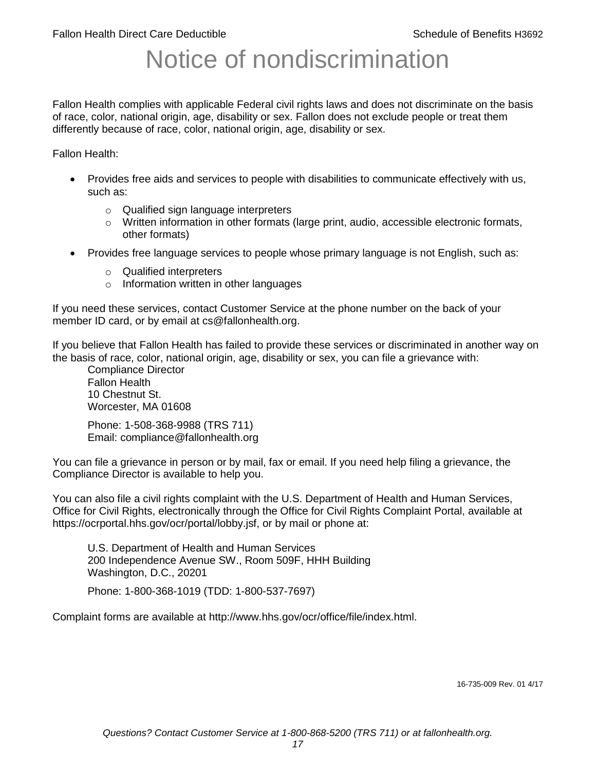# Notice of nondiscrimination

Fallon Health complies with applicable Federal civil rights laws and does not discriminate on the basis of race, color, national origin, age, disability or sex. Fallon does not exclude people or treat them differently because of race, color, national origin, age, disability or sex.

Fallon Health:

- Provides free aids and services to people with disabilities to communicate effectively with us, such as:
	- o Qualified sign language interpreters
	- $\circ$  Written information in other formats (large print, audio, accessible electronic formats, other formats)
- Provides free language services to people whose primary language is not English, such as:
	- o Qualified interpreters
	- o Information written in other languages

If you need these services, contact Customer Service at the phone number on the back of your member ID card, or by email at cs@fallonhealth.org.

If you believe that Fallon Health has failed to provide these services or discriminated in another way on the basis of race, color, national origin, age, disability or sex, you can file a grievance with:

Compliance Director Fallon Health 10 Chestnut St. Worcester, MA 01608

Phone: 1-508-368-9988 (TRS 711) Email: compliance@fallonhealth.org

You can file a grievance in person or by mail, fax or email. If you need help filing a grievance, the Compliance Director is available to help you.

You can also file a civil rights complaint with the U.S. Department of Health and Human Services, Office for Civil Rights, electronically through the Office for Civil Rights Complaint Portal, available at https://ocrportal.hhs.gov/ocr/portal/lobby.jsf, or by mail or phone at:

U.S. Department of Health and Human Services 200 Independence Avenue SW., Room 509F, HHH Building Washington, D.C., 20201

Phone: 1-800-368-1019 (TDD: 1-800-537-7697)

Complaint forms are available at http://www.hhs.gov/ocr/office/file/index.html.

16-735-009 Rev. 01 4/17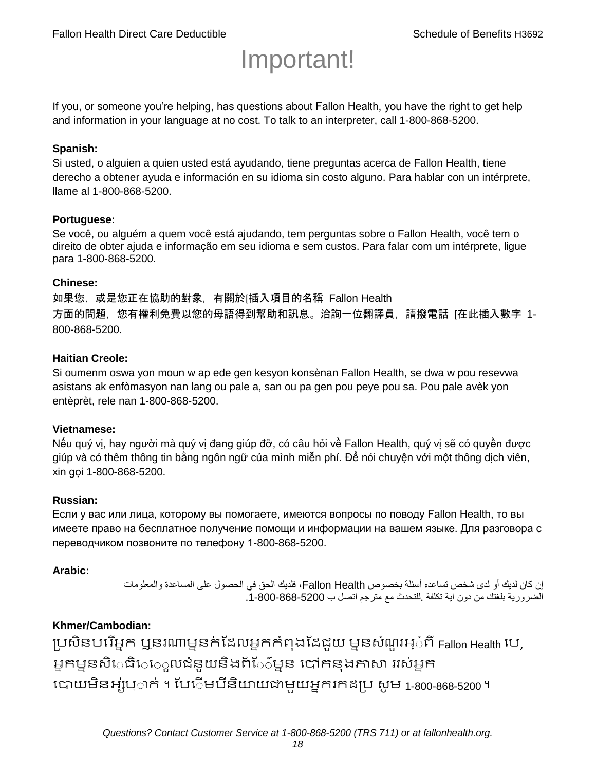# Important!

If you, or someone you're helping, has questions about Fallon Health, you have the right to get help and information in your language at no cost. To talk to an interpreter, call 1-800-868-5200.

#### **Spanish:**

Si usted, o alguien a quien usted está ayudando, tiene preguntas acerca de Fallon Health, tiene derecho a obtener ayuda e información en su idioma sin costo alguno. Para hablar con un intérprete, llame al 1-800-868-5200.

#### **Portuguese:**

Se você, ou alguém a quem você está ajudando, tem perguntas sobre o Fallon Health, você tem o direito de obter ajuda e informação em seu idioma e sem custos. Para falar com um intérprete, ligue para 1-800-868-5200.

#### **Chinese:**

如果您,或是您正在協助的對象,有關於[插入項目的名稱 Fallon Health 方面的問題, 您有權利免費以您的母語得到幫助和訊息。洽詢一位翻譯員, 請撥電話 [在此插入數字 1-800-868-5200.

#### **Haitian Creole:**

Si oumenm oswa yon moun w ap ede gen kesyon konsènan Fallon Health, se dwa w pou resevwa asistans ak enfòmasyon nan lang ou pale a, san ou pa gen pou peye pou sa. Pou pale avèk yon entèprèt, rele nan 1-800-868-5200.

#### **Vietnamese:**

Nếu quý vị, hay người mà quý vị đang giúp đỡ, có câu hỏi về Fallon Health, quý vị sẽ có quyền được giúp và có thêm thông tin bằng ngôn ngữ của mình miễn phí. Để nói chuyện với một thông dịch viên, xin gọi 1-800-868-5200.

#### **Russian:**

Если у вас или лица, которому вы помогаете, имеются вопросы по поводу Fallon Health, то вы имеете право на бесплатное получение помощи и информации на вашем языке. Для разговора с переводчиком позвоните по телефону 1-800-868-5200.

#### **Arabic:**

إن كان لديك أو لدى شخص تساعده أسئلة بخصوص Health Fallon، فلديك الحق في الحصول على المساعدة والمعلومات الضرورية بلغتك من دون اية تكلفة .للتحدث مع مترجم اتصل ب .1-800-868-5200

## **Khmer/Cambodian:**

ប្រសិនបរើអ្នក ឬនរណាម្ននក់ដែលអ្នកកំពុងដែជយ ម្ននសំណួរអ្៎ពី Fallon Health រប, អ្នកម្ននសិេធិេ្រុលជំនួយនិងព័ែ៌ម្នន បៅកនុងភាសា ររស់អ្នក រោយម្ិនអ្ស់រ្ំ ក់ ។ ដររំម្ រនី ិយាយជាម្ួយអ្នក កែប្រ សូ ម្ 1-800-868-5200 ។